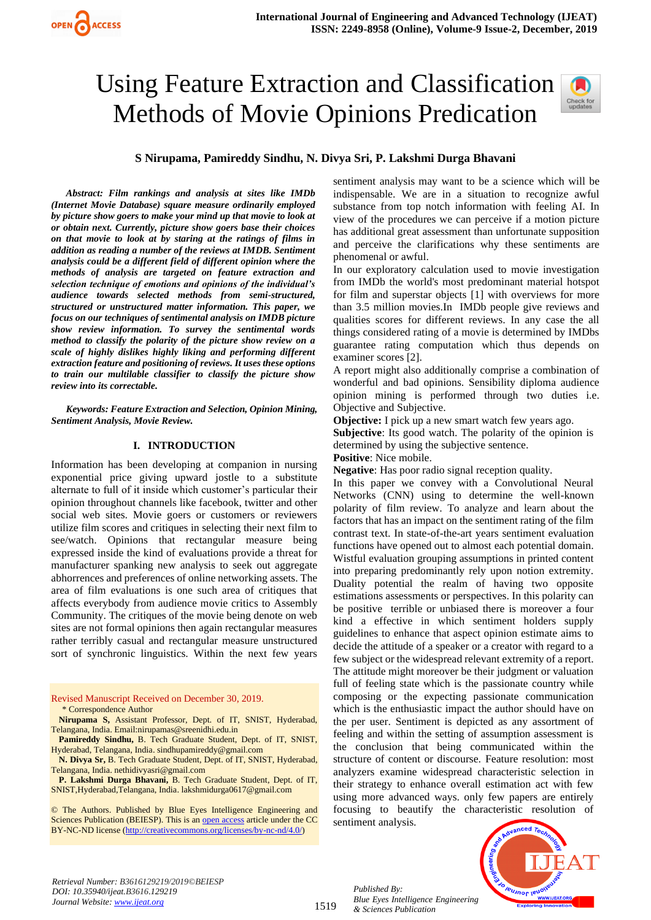# Using Feature Extraction and Classification Methods of Movie Opinions Predication



## **S Nirupama, Pamireddy Sindhu, N. Divya Sri, P. Lakshmi Durga Bhavani**

*Abstract: Film rankings and analysis at sites like IMDb (Internet Movie Database) square measure ordinarily employed by picture show goers to make your mind up that movie to look at or obtain next. Currently, picture show goers base their choices on that movie to look at by staring at the ratings of films in addition as reading a number of the reviews at IMDB. Sentiment analysis could be a different field of different opinion where the methods of analysis are targeted on feature extraction and selection technique of emotions and opinions of the individual's audience towards selected methods from semi-structured, structured or unstructured matter information. This paper, we focus on our techniques of sentimental analysis on IMDB picture show review information. To survey the sentimental words method to classify the polarity of the picture show review on a scale of highly dislikes highly liking and performing different extraction feature and positioning of reviews. It uses these options to train our multilable classifier to classify the picture show review into its correctable.*

*Keywords: Feature Extraction and Selection, Opinion Mining, Sentiment Analysis, Movie Review.*

#### **I. INTRODUCTION**

Information has been developing at companion in nursing exponential price giving upward jostle to a substitute alternate to full of it inside which customer's particular their opinion throughout channels like facebook, twitter and other social web sites. Movie goers or customers or reviewers utilize film scores and critiques in selecting their next film to see/watch. Opinions that rectangular measure being expressed inside the kind of evaluations provide a threat for manufacturer spanking new analysis to seek out aggregate abhorrences and preferences of online networking assets. The area of film evaluations is one such area of critiques that affects everybody from audience movie critics to Assembly Community. The critiques of the movie being denote on web sites are not formal opinions then again rectangular measures rather terribly casual and rectangular measure unstructured sort of synchronic linguistics. Within the next few years

Revised Manuscript Received on December 30, 2019. \* Correspondence Author

**Nirupama S,** Assistant Professor, Dept. of IT, SNIST, Hyderabad, Telangana, India. Email:nirupamas@sreenidhi.edu.in

**Pamireddy Sindhu,** B. Tech Graduate Student, Dept. of IT, SNIST, Hyderabad, Telangana, India. sindhupamireddy@gmail.com

**N. Divya Sr,** B. Tech Graduate Student, Dept. of IT, SNIST, Hyderabad, Telangana, India. [nethidivyasri@gmail.com](mailto:nethidivyasri@gmail.com)

**P. Lakshmi Durga Bhavani,** B. Tech Graduate Student, Dept. of IT, SNIST,Hyderabad,Telangana, India. lakshmidurga0617@gmail.com

© The Authors. Published by Blue Eyes Intelligence Engineering and Sciences Publication (BEIESP). This is a[n open access](https://www.openaccess.nl/en/open-publications) article under the CC BY-NC-ND license [\(http://creativecommons.org/licenses/by-nc-nd/4.0/\)](http://creativecommons.org/licenses/by-nc-nd/4.0/)

sentiment analysis may want to be a science which will be indispensable. We are in a situation to recognize awful substance from top notch information with feeling AI. In view of the procedures we can perceive if a motion picture has additional great assessment than unfortunate supposition and perceive the clarifications why these sentiments are phenomenal or awful.

In our exploratory calculation used to movie investigation from IMDb the world's most predominant material hotspot for film and superstar objects [1] with overviews for more than 3.5 million movies.In IMDb people give reviews and qualities scores for different reviews. In any case the all things considered rating of a movie is determined by IMDbs guarantee rating computation which thus depends on examiner scores [2].

A report might also additionally comprise a combination of wonderful and bad opinions. Sensibility diploma audience opinion mining is performed through two duties i.e. Objective and Subjective.

**Objective:** I pick up a new smart watch few years ago.

**Subjective**: Its good watch. The polarity of the opinion is determined by using the subjective sentence.

**Positive**: Nice mobile.

**Negative**: Has poor radio signal reception quality.

In this paper we convey with a Convolutional Neural Networks (CNN) using to determine the well-known polarity of film review. To analyze and learn about the factors that has an impact on the sentiment rating of the film contrast text. In state-of-the-art years sentiment evaluation functions have opened out to almost each potential domain. Wistful evaluation grouping assumptions in printed content into preparing predominantly rely upon notion extremity. Duality potential the realm of having two opposite estimations assessments or perspectives. In this polarity can be positive terrible or unbiased there is moreover a four kind a effective in which sentiment holders supply guidelines to enhance that aspect opinion estimate aims to decide the attitude of a speaker or a creator with regard to a few subject or the widespread relevant extremity of a report. The attitude might moreover be their judgment or valuation full of feeling state which is the passionate country while composing or the expecting passionate communication which is the enthusiastic impact the author should have on the per user. Sentiment is depicted as any assortment of feeling and within the setting of assumption assessment is the conclusion that being communicated within the structure of content or discourse. Feature resolution: most analyzers examine widespread characteristic selection in their strategy to enhance overall estimation act with few using more advanced ways. only few papers are entirely focusing to beautify the characteristic resolution of sentiment analysis.



*Retrieval Number: B3616129219/2019©BEIESP DOI: 10.35940/ijeat.B3616.129219 Journal Website[: www.ijeat.org](http://www.ijeat.org/)*

1519

*Published By: Blue Eyes Intelligence Engineering & Sciences Publication*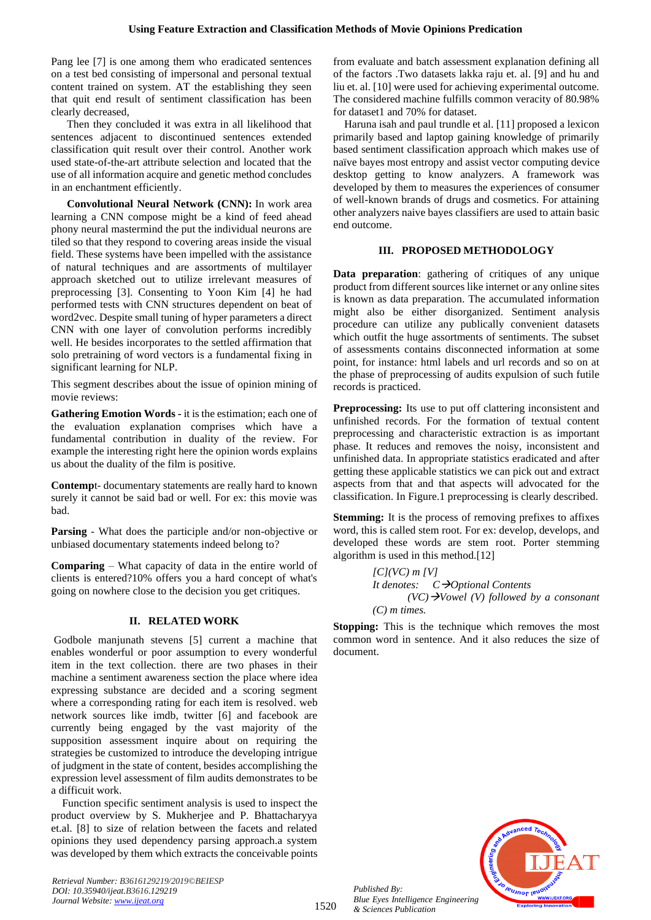Pang lee [7] is one among them who eradicated sentences on a test bed consisting of impersonal and personal textual content trained on system. AT the establishing they seen that quit end result of sentiment classification has been clearly decreased,

Then they concluded it was extra in all likelihood that sentences adjacent to discontinued sentences extended classification quit result over their control. Another work used state-of-the-art attribute selection and located that the use of all information acquire and genetic method concludes in an enchantment efficiently.

**Convolutional Neural Network (CNN):** In work area learning a CNN compose might be a kind of feed ahead phony neural mastermind the put the individual neurons are tiled so that they respond to covering areas inside the visual field. These systems have been impelled with the assistance of natural techniques and are assortments of multilayer approach sketched out to utilize irrelevant measures of preprocessing [3]. Consenting to Yoon Kim [4] he had performed tests with CNN structures dependent on beat of word2vec. Despite small tuning of hyper parameters a direct CNN with one layer of convolution performs incredibly well. He besides incorporates to the settled affirmation that solo pretraining of word vectors is a fundamental fixing in significant learning for NLP.

This segment describes about the issue of opinion mining of movie reviews:

**Gathering Emotion Words -** it is the estimation; each one of the evaluation explanation comprises which have a fundamental contribution in duality of the review. For example the interesting right here the opinion words explains us about the duality of the film is positive.

**Contemp**t- documentary statements are really hard to known surely it cannot be said bad or well. For ex: this movie was bad.

**Parsing** - What does the participle and/or non-objective or unbiased documentary statements indeed belong to?

**Comparing** – What capacity of data in the entire world of clients is entered?10% offers you a hard concept of what's going on nowhere close to the decision you get critiques.

## **II. RELATED WORK**

Godbole manjunath stevens [5] current a machine that enables wonderful or poor assumption to every wonderful item in the text collection. there are two phases in their machine a sentiment awareness section the place where idea expressing substance are decided and a scoring segment where a corresponding rating for each item is resolved. web network sources like imdb, twitter [6] and facebook are currently being engaged by the vast majority of the supposition assessment inquire about on requiring the strategies be customized to introduce the developing intrigue of judgment in the state of content, besides accomplishing the expression level assessment of film audits demonstrates to be a difficuit work.

Function specific sentiment analysis is used to inspect the product overview by S. Mukherjee and P. Bhattacharyya et.al. [8] to size of relation between the facets and related opinions they used dependency parsing approach.a system was developed by them which extracts the conceivable points

*Retrieval Number: B3616129219/2019©BEIESP DOI: 10.35940/ijeat.B3616.129219 Journal Website[: www.ijeat.org](http://www.ijeat.org/)*

from evaluate and batch assessment explanation defining all of the factors .Two datasets lakka raju et. al. [9] and hu and liu et. al. [10] were used for achieving experimental outcome. The considered machine fulfills common veracity of 80.98% for dataset1 and 70% for dataset.

Haruna isah and paul trundle et al. [11] proposed a lexicon primarily based and laptop gaining knowledge of primarily based sentiment classification approach which makes use of naïve bayes most entropy and assist vector computing device desktop getting to know analyzers. A framework was developed by them to measures the experiences of consumer of well-known brands of drugs and cosmetics. For attaining other analyzers naive bayes classifiers are used to attain basic end outcome.

## **III. PROPOSED METHODOLOGY**

**Data preparation**: gathering of critiques of any unique product from different sources like internet or any online sites is known as data preparation. The accumulated information might also be either disorganized. Sentiment analysis procedure can utilize any publically convenient datasets which outfit the huge assortments of sentiments. The subset of assessments contains disconnected information at some point, for instance: html labels and url records and so on at the phase of preprocessing of audits expulsion of such futile records is practiced.

**Preprocessing:** Its use to put off clattering inconsistent and unfinished records. For the formation of textual content preprocessing and characteristic extraction is as important phase. It reduces and removes the noisy, inconsistent and unfinished data. In appropriate statistics eradicated and after getting these applicable statistics we can pick out and extract aspects from that and that aspects will advocated for the classification. In Figure.1 preprocessing is clearly described.

**Stemming:** It is the process of removing prefixes to affixes word, this is called stem root. For ex: develop, develops, and developed these words are stem root. Porter stemming algorithm is used in this method.[12]

> *[C](VC) m [V] It denotes: C*→*Optional Contents (VC)*→*Vowel (V) followed by a consonant (C) m times.*

**Stopping:** This is the technique which removes the most common word in sentence. And it also reduces the size of document.



*Published By: Blue Eyes Intelligence Engineering & Sciences Publication*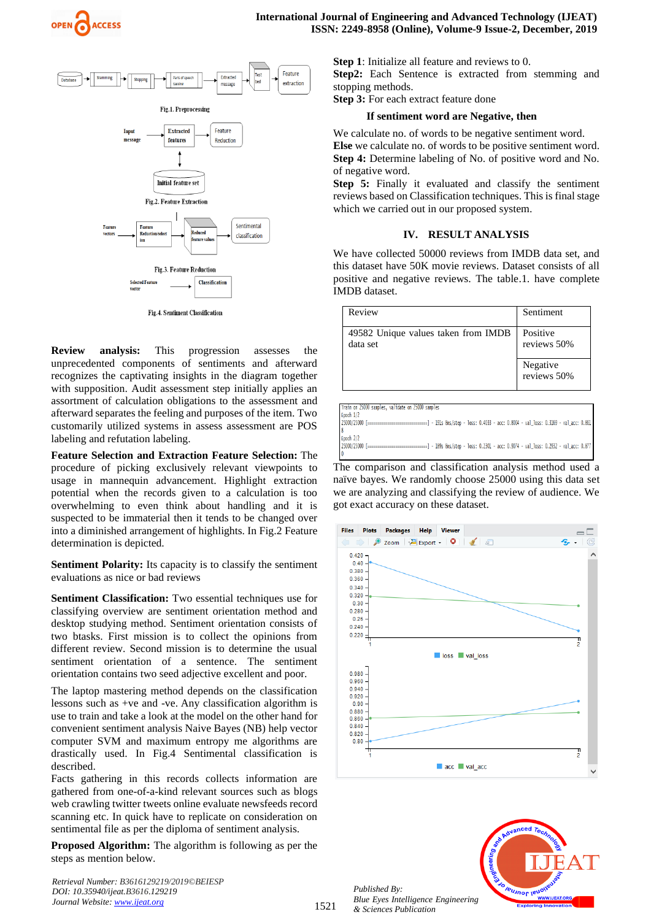



Fig.4. Sentiment Classification

**Review analysis:** This progression assesses the unprecedented components of sentiments and afterward recognizes the captivating insights in the diagram together with supposition. Audit assessment step initially applies an assortment of calculation obligations to the assessment and afterward separates the feeling and purposes of the item. Two customarily utilized systems in assess assessment are POS labeling and refutation labeling.

**Feature Selection and Extraction Feature Selection:** The procedure of picking exclusively relevant viewpoints to usage in mannequin advancement. Highlight extraction potential when the records given to a calculation is too overwhelming to even think about handling and it is suspected to be immaterial then it tends to be changed over into a diminished arrangement of highlights. In Fig.2 Feature determination is depicted.

**Sentiment Polarity:** Its capacity is to classify the sentiment evaluations as nice or bad reviews

**Sentiment Classification:** Two essential techniques use for classifying overview are sentiment orientation method and desktop studying method. Sentiment orientation consists of two btasks. First mission is to collect the opinions from different review. Second mission is to determine the usual sentiment orientation of a sentence. The sentiment orientation contains two seed adjective excellent and poor.

The laptop mastering method depends on the classification lessons such as +ve and -ve. Any classification algorithm is use to train and take a look at the model on the other hand for convenient sentiment analysis Naive Bayes (NB) help vector computer SVM and maximum entropy me algorithms are drastically used. In Fig.4 Sentimental classification is described.

Facts gathering in this records collects information are gathered from one-of-a-kind relevant sources such as blogs web crawling twitter tweets online evaluate newsfeeds record scanning etc. In quick have to replicate on consideration on sentimental file as per the diploma of sentiment analysis.

**Proposed Algorithm:** The algorithm is following as per the steps as mention below.

*Retrieval Number: B3616129219/2019©BEIESP DOI: 10.35940/ijeat.B3616.129219 Journal Website[: www.ijeat.org](http://www.ijeat.org/)*

**Step 1**: Initialize all feature and reviews to 0.

**Step2:** Each Sentence is extracted from stemming and stopping methods.

**Step 3:** For each extract feature done

#### **If sentiment word are Negative, then**

We calculate no. of words to be negative sentiment word. **Else** we calculate no. of words to be positive sentiment word. **Step 4:** Determine labeling of No. of positive word and No. of negative word.

**Step 5:** Finally it evaluated and classify the sentiment reviews based on Classification techniques. This is final stage which we carried out in our proposed system.

## **IV. RESULT ANALYSIS**

We have collected 50000 reviews from IMDB data set, and this dataset have 50K movie reviews. Dataset consists of all positive and negative reviews. The table.1. have complete IMDB dataset.

| Review                                          | Sentiment               |
|-------------------------------------------------|-------------------------|
| 49582 Unique values taken from IMDB<br>data set | Positive<br>reviews 50% |
|                                                 | Negative<br>reviews 50% |

| Train on 25000 samples, validate on 25000 samples                                                                               |
|---------------------------------------------------------------------------------------------------------------------------------|
| Epoch $1/2$                                                                                                                     |
| 25000/25000 [================================] - 191s 8ms/step - loss: 0.4033 - acc: 0.8004 - val_loss: 0.3169 - val_acc: 0.861 |
|                                                                                                                                 |
| Epoch $2/2$                                                                                                                     |
| 25000/25000 F====<br>------------------] - 189s 8ms/step - loss: 0.2301 - acc: 0.9074 - val_loss: 0.2932 - val_acc: 0.877       |
|                                                                                                                                 |

The comparison and classification analysis method used a naïve bayes. We randomly choose 25000 using this data set we are analyzing and classifying the review of audience. We got exact accuracy on these dataset.





*Published By: Blue Eyes Intelligence Engineering & Sciences Publication*